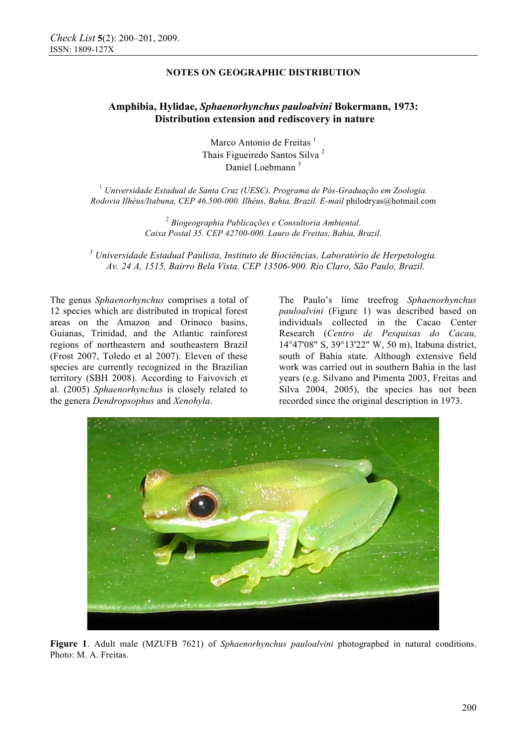## **NOTES ON GEOGRAPHIC DISTRIBUTION**

# **Amphibia, Hylidae,** *Sphaenorhynchus pauloalvini* **Bokermann, 1973: Distribution extension and rediscovery in nature**

Marco Antonio de Freitas<sup> $1$ </sup> Thais Figueiredo Santos Silva <sup>2</sup> Daniel Loebmann<sup>3</sup>

<sup>1</sup> *Universidade Estadual de Santa Cruz (UESC), Programa de Pós-Graduação em Zoologia. Rodovia Ilhéus/Itabuna, CEP 46.500-000. Ilhéus, Bahia, Brazil. E-mail* philodryas@hotmail.com

> *<sup>2</sup> Biogeographia Publicações e Consultoria Ambiental. Caixa Postal 35. CEP 42700-000. Lauro de Freitas, Bahia, Brazil.*

*3 Universidade Estadual Paulista, Instituto de Biociências, Laboratório de Herpetologia. Av. 24 A, 1515, Bairro Bela Vista. CEP 13506-900. Rio Claro, São Paulo, Brazil.* 

The genus *Sphaenorhynchus* comprises a total of 12 species which are distributed in tropical forest areas on the Amazon and Orinoco basins, Guianas, Trinidad, and the Atlantic rainforest regions of northeastern and southeastern Brazil (Frost 2007, Toledo et al 2007). Eleven of these species are currently recognized in the Brazilian territory (SBH 2008). According to Faivovich et al. (2005) *Sphaenorhynchus* is closely related to the genera *Dendropsophus* and *Xenohyla*.

The Paulo's lime treefrog *Sphaenorhynchus pauloalvini* (Figure 1) was described based on individuals collected in the Cacao Center Research (*Centro de Pesquisas do Cacau,*  14°47'08" S, 39°13'22" W, 50 m), Itabuna district, south of Bahia state. Although extensive field work was carried out in southern Bahia in the last years (e.g. Silvano and Pimenta 2003, Freitas and Silva 2004, 2005), the species has not been recorded since the original description in 1973.



**Figure 1**. Adult male (MZUFB 7621) of *Sphaenorhynchus pauloalvini* photographed in natural conditions. Photo: M. A. Freitas.